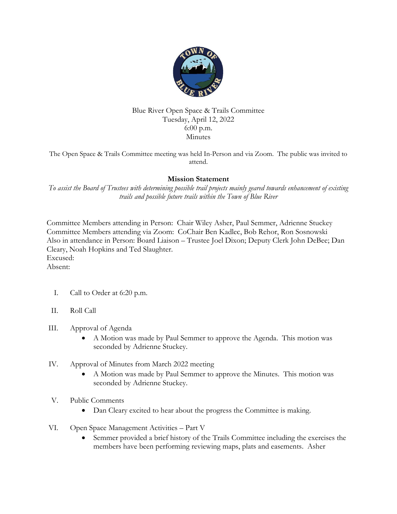

## Blue River Open Space & Trails Committee Tuesday, April 12, 2022 6:00 p.m. Minutes

The Open Space & Trails Committee meeting was held In-Person and via Zoom. The public was invited to attend.

## **Mission Statement**

*To assist the Board of Trustees with determining possible trail projects mainly geared towards enhancement of existing trails and possible future trails within the Town of Blue River*

Committee Members attending in Person: Chair Wiley Asher, Paul Semmer, Adrienne Stuckey Committee Members attending via Zoom: CoChair Ben Kadlec, Bob Rehor, Ron Sosnowski Also in attendance in Person: Board Liaison – Trustee Joel Dixon; Deputy Clerk John DeBee; Dan Cleary, Noah Hopkins and Ted Slaughter. Excused: Absent:

- I. Call to Order at 6:20 p.m.
- II. Roll Call
- III. Approval of Agenda
	- A Motion was made by Paul Semmer to approve the Agenda. This motion was seconded by Adrienne Stuckey.
- IV. Approval of Minutes from March 2022 meeting
	- A Motion was made by Paul Semmer to approve the Minutes. This motion was seconded by Adrienne Stuckey.
- V. Public Comments
	- Dan Cleary excited to hear about the progress the Committee is making.
- VI. Open Space Management Activities Part V
	- Semmer provided a brief history of the Trails Committee including the exercises the members have been performing reviewing maps, plats and easements. Asher